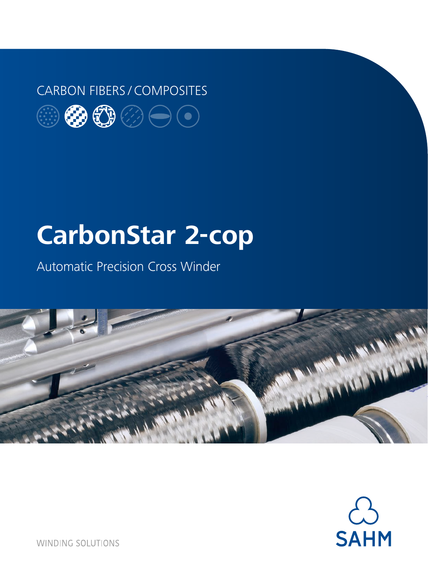### CARBON FIBERS / COMPOSITES



# **CarbonStar 2-cop**

Automatic Precision Cross Winder





**WINDING SOLUTIONS**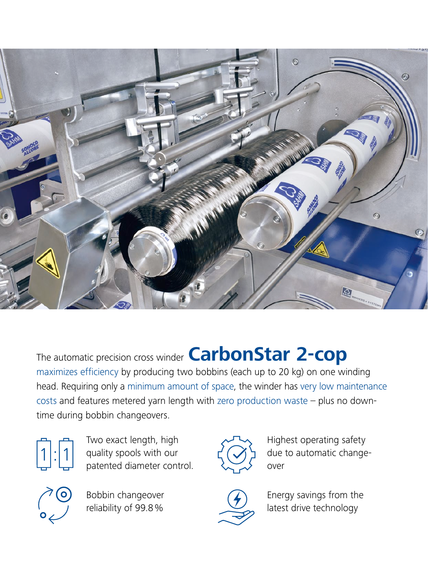

The automatic precision cross winder **CarbonStar 2-cop** maximizes efficiency by producing two bobbins (each up to 20 kg) on one winding head. Requiring only a minimum amount of space, the winder has very low maintenance costs and features metered yarn length with zero production waste – plus no downtime during bobbin changeovers.



Two exact length, high quality spools with our patented diameter control.



Bobbin changeover reliability of 99.8%



Highest operating safety due to automatic changeover



Energy savings from the latest drive technology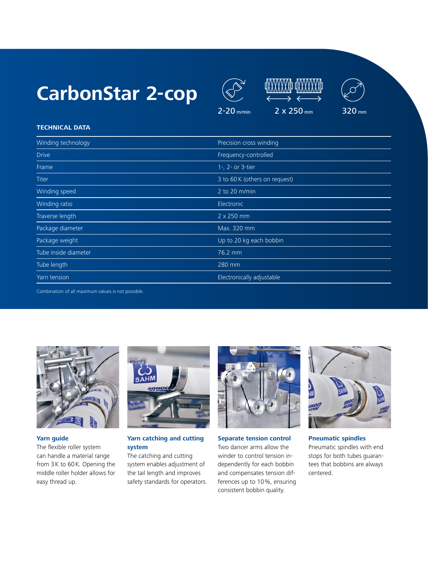## **CarbonStar 2-cop**







#### **TECHNICAL DATA**

| Winding technology   | Precision cross winding       |
|----------------------|-------------------------------|
| <b>Drive</b>         | Frequency-controlled          |
| Frame                | 1-, 2- or 3-tier              |
| Titer                | 3 to 60 K (others on request) |
| Winding speed        | 2 to 20 m/min                 |
| Winding ratio        | Electronic                    |
| Traverse length      | 2 x 250 mm                    |
| Package diameter     | Max. 320 mm                   |
| Package weight       | Up to 20 kg each bobbin       |
| Tube inside diameter | 76.2 mm                       |
| Tube length          | 280 mm                        |
| Yarn tension         | Electronically adjustable     |
|                      |                               |

Combination of all maximum values is not possible.



### **Yarn guide**

The flexible roller system can handle a material range from 3K to 60K. Opening the middle roller holder allows for easy thread up.



#### **Yarn catching and cutting system**

The catching and cutting system enables adjustment of the tail length and improves safety standards for operators.



**Separate tension control** Two dancer arms allow the winder to control tension independently for each bobbin and compensates tension differences up to 10%, ensuring consistent bobbin quality.



**Pneumatic spindles** Pneumatic spindles with end stops for both tubes guarantees that bobbins are always centered.